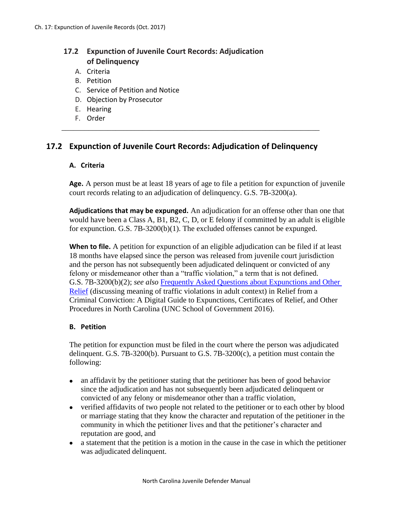# **17.2 Expunction of Juvenile Court Records: Adjudication of Delinquency**

- A. Criteria
- B. Petition
- C. Service of Petition and Notice
- D. Objection by Prosecutor
- E. Hearing
- F. Order

## **17.2 Expunction of Juvenile Court Records: Adjudication of Delinquency**

\_\_\_\_\_\_\_\_\_\_\_\_\_\_\_\_\_\_\_\_\_\_\_\_\_\_\_\_\_\_\_\_\_\_\_\_\_\_\_\_\_\_\_\_\_\_\_\_\_\_\_\_\_\_\_\_\_\_\_\_\_\_\_\_\_\_\_

#### **A. Criteria**

**Age.** A person must be at least 18 years of age to file a petition for expunction of juvenile court records relating to an adjudication of delinquency. G.S. 7B-3200(a).

**Adjudications that may be expunged.** An adjudication for an offense other than one that would have been a Class A, B1, B2, C, D, or E felony if committed by an adult is eligible for expunction. G.S. 7B-3200(b)(1). The excluded offenses cannot be expunged.

**When to file.** A petition for expunction of an eligible adjudication can be filed if at least 18 months have elapsed since the person was released from juvenile court jurisdiction and the person has not subsequently been adjudicated delinquent or convicted of any felony or misdemeanor other than a "traffic violation," a term that is not defined. G.S. 7B-3200(b)(2); *see also* [Frequently Asked Questions about Expunctions and Other](https://www.sog.unc.edu/resources/faq-collections/frequently-asked-questions-about-expunctions-and-other-relief)  [Relief](https://www.sog.unc.edu/resources/faq-collections/frequently-asked-questions-about-expunctions-and-other-relief) (discussing meaning of traffic violations in adult context) in Relief from a Criminal Conviction: A Digital Guide to Expunctions, Certificates of Relief, and Other Procedures in North Carolina (UNC School of Government 2016).

#### **B. Petition**

The petition for expunction must be filed in the court where the person was adjudicated delinquent. G.S. 7B-3200(b). Pursuant to G.S. 7B-3200(c), a petition must contain the following:

- an affidavit by the petitioner stating that the petitioner has been of good behavior since the adjudication and has not subsequently been adjudicated delinquent or convicted of any felony or misdemeanor other than a traffic violation,
- verified affidavits of two people not related to the petitioner or to each other by blood or marriage stating that they know the character and reputation of the petitioner in the community in which the petitioner lives and that the petitioner's character and reputation are good, and
- a statement that the petition is a motion in the cause in the case in which the petitioner was adjudicated delinquent.